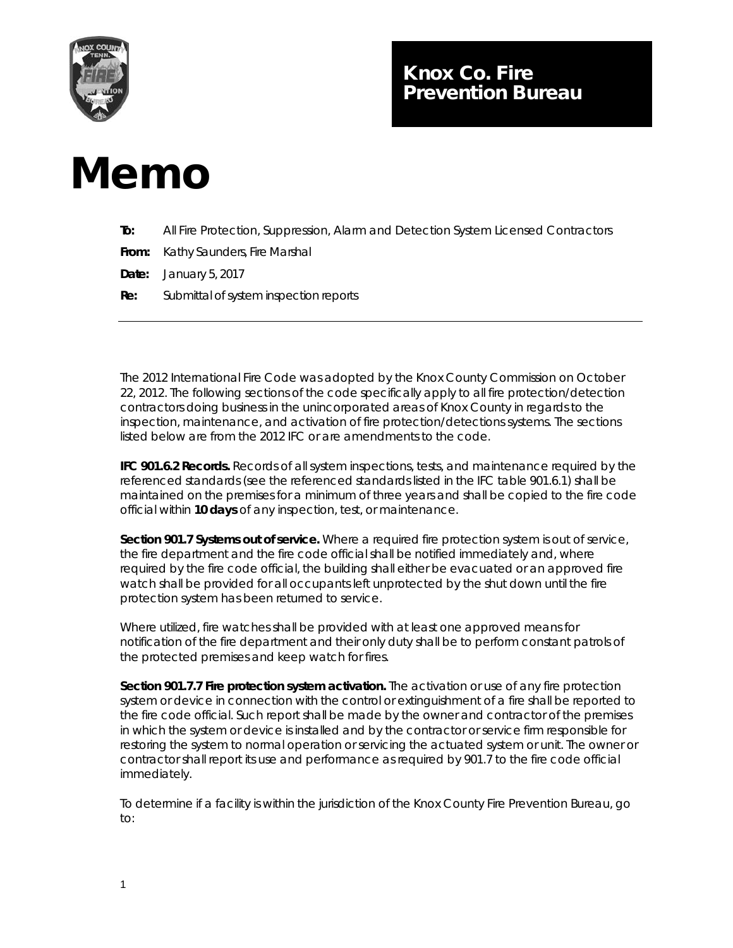

## Knox Co. Fire Prevention Bureau

## Memo

| To: | All Fire Protection, Suppression, Alarm and Detection System Licensed Contractors |
|-----|-----------------------------------------------------------------------------------|
|     | <b>From:</b> Kathy Saunders, Fire Marshal                                         |
|     | <b>Date:</b> January 5, 2017                                                      |
| Re: | Submittal of system inspection reports                                            |
|     |                                                                                   |

The 2012 International Fire Code was adopted by the Knox County Commission on October 22, 2012. The following sections of the code specifically apply to all fire protection/detection contractors doing business in the unincorporated areas of Knox County in regards to the inspection, maintenance, and activation of fire protection/detections systems. The sections listed below are from the 2012 IFC or are amendments to the code.

**IFC 901.6.2 Records.** Records of all system inspections, tests, and maintenance required by the referenced standards (see the referenced standards listed in the IFC table 901.6.1) shall be maintained on the premises for a minimum of three years and shall be copied to the fire code official within **10 days** of any inspection, test, or maintenance.

**Section 901.7 Systems out of service.** Where a required fire protection system is out of service, the fire department and the fire code official shall be notified immediately and, where required by the fire code official, the building shall either be evacuated or an approved fire watch shall be provided for all occupants left unprotected by the shut down until the fire protection system has been returned to service.

Where utilized, fire watches shall be provided with at least one approved means for notification of the fire department and their only duty shall be to perform constant patrols of the protected premises and keep watch for fires.

**Section 901.7.7 Fire protection system activation.** The activation or use of any fire protection system or device in connection with the control or extinguishment of a fire shall be reported to the fire code official. Such report shall be made by the owner and contractor of the premises in which the system or device is installed and by the contractor or service firm responsible for restoring the system to normal operation or servicing the actuated system or unit. The owner or contractor shall report its use and performance as required by 901.7 to the fire code official immediately.

To determine if a facility is within the jurisdiction of the Knox County Fire Prevention Bureau, go to: